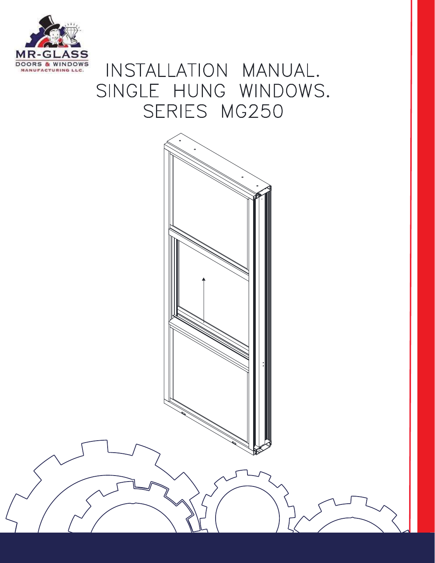

# INSTALLATION MANUAL. SINGLE HUNG WINDOWS. SERIES MG250

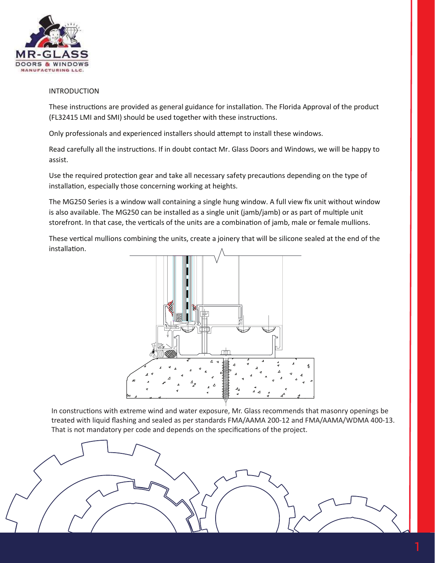

#### INTRODUCTION

These instructions are provided as general guidance for installation. The Florida Approval of the product (FL32415 LMI and SMI) should be used together with these instructions.

Only professionals and experienced installers should a�empt to install these windows.

Read carefully all the instructions. If in doubt contact Mr. Glass Doors and Windows, we will be happy to assist.

Use the required protection gear and take all necessary safety precautions depending on the type of installation, especially those concerning working at heights.

The MG250 Series is a window wall containing a single hung window. A full view fix unit without window is also available. The MG250 can be installed as a single unit (jamb/jamb) or as part of multiple unit storefront. In that case, the verticals of the units are a combination of jamb, male or female mullions.

These vertical mullions combining the units, create a joinery that will be silicone sealed at the end of the installation.



In constructions with extreme wind and water exposure, Mr. Glass recommends that masonry openings be treated with liquid flashing and sealed as per standards FMA/AAMA 200-12 and FMA/AAMA/WDMA 400-13. That is not mandatory per code and depends on the specifications of the project.

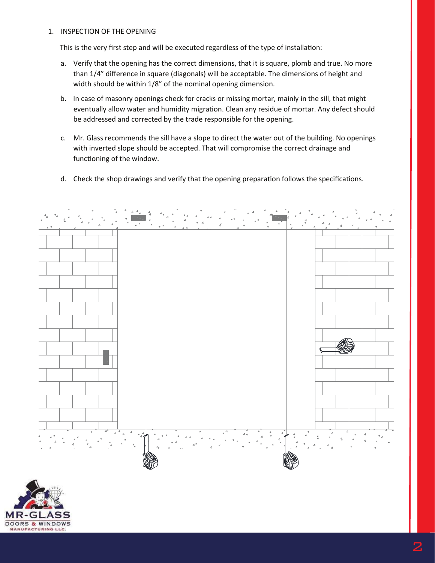## 1. INSPECTION OF THE OPENING

This is the very first step and will be executed regardless of the type of installation:

- a. Verify that the opening has the correct dimensions, that it is square, plomb and true. No more than 1/4" difference in square (diagonals) will be acceptable. The dimensions of height and width should be within 1/8" of the nominal opening dimension.
- b. In case of masonry openings check for cracks or missing mortar, mainly in the sill, that might eventually allow water and humidity migration. Clean any residue of mortar. Any defect should be addressed and corrected by the trade responsible for the opening.
- c. Mr. Glass recommends the sill have a slope to direct the water out of the building. No openings with inverted slope should be accepted. That will compromise the correct drainage and functioning of the window.
- d. Check the shop drawings and verify that the opening preparation follows the specifications.



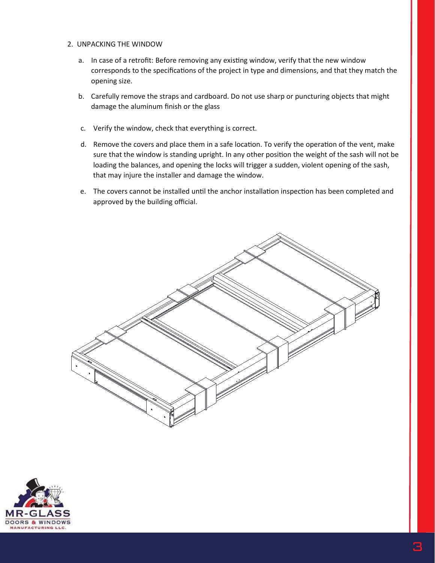- 2. UNPACKING THE WINDOW
	- a. In case of a retrofit: Before removing any existing window, verify that the new window corresponds to the specifications of the project in type and dimensions, and that they match the opening size.
	- b. Carefully remove the straps and cardboard. Do not use sharp or puncturing objects that might damage the aluminum finish or the glass
	- c. Verify the window, check that everything is correct.
	- d. Remove the covers and place them in a safe location. To verify the operation of the vent, make sure that the window is standing upright. In any other position the weight of the sash will not be loading the balances, and opening the locks will trigger a sudden, violent opening of the sash, that may injure the installer and damage the window.
	- e. The covers cannot be installed until the anchor installation inspection has been completed and approved by the building official.



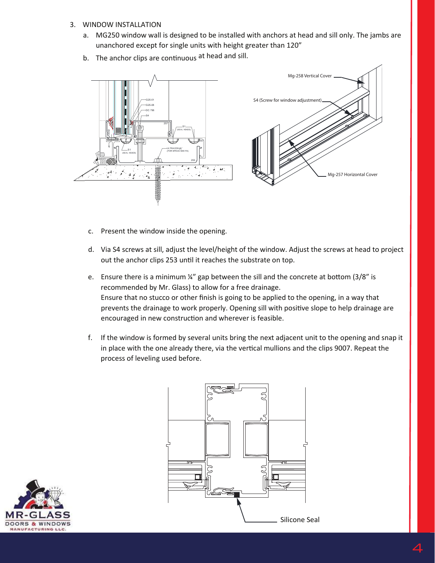## 3. WINDOW INSTALLATION

- a. MG250 window wall is designed to be installed with anchors at head and sill only. The jambs are unanchored except for single units with height greater than 120"
- b. The anchor clips are continuous at head and sill.



- c. Present the window inside the opening.
- d. Via S4 screws at sill, adjust the level/height of the window. Adjust the screws at head to project out the anchor clips 253 until it reaches the substrate on top.
- e. Ensure there is a minimum  $\frac{1}{4}$  gap between the sill and the concrete at bottom (3/8" is recommended by Mr. Glass) to allow for a free drainage. Ensure that no stucco or other finish is going to be applied to the opening, in a way that prevents the drainage to work properly. Opening sill with positive slope to help drainage are encouraged in new construction and wherever is feasible.
- f. If the window is formed by several units bring the next adjacent unit to the opening and snap it in place with the one already there, via the vertical mullions and the clips 9007. Repeat the process of leveling used before.



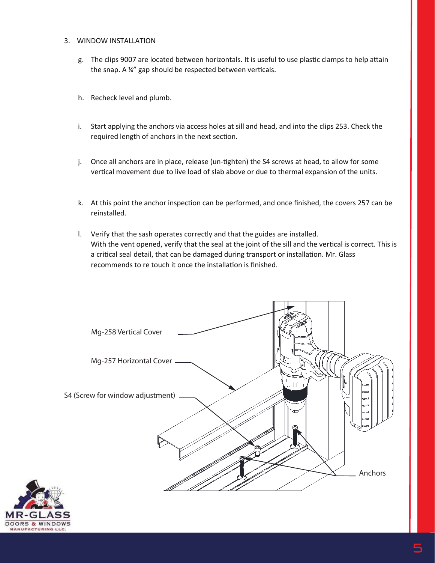#### 3. WINDOW INSTALLATION

- g. The clips 9007 are located between horizontals. It is useful to use plastic clamps to help attain the snap. A ¼" gap should be respected between verticals.
- h. Recheck level and plumb.
- i. Start applying the anchors via access holes at sill and head, and into the clips 253. Check the required length of anchors in the next section.
- j. Once all anchors are in place, release (un-�ghten) the S4 screws at head, to allow for some vertical movement due to live load of slab above or due to thermal expansion of the units.
- k. At this point the anchor inspection can be performed, and once finished, the covers 257 can be reinstalled.
- l. Verify that the sash operates correctly and that the guides are installed. With the vent opened, verify that the seal at the joint of the sill and the vertical is correct. This is a critical seal detail, that can be damaged during transport or installation. Mr. Glass recommends to re touch it once the installation is finished.



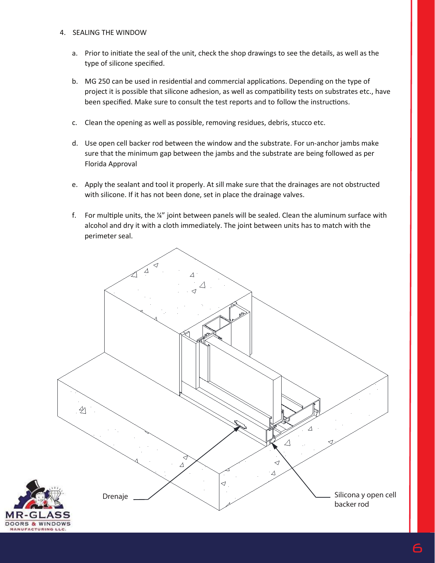### 4. SEALING THE WINDOW

२- G

- a. Prior to initiate the seal of the unit, check the shop drawings to see the details, as well as the type of silicone specified.
- b. MG 250 can be used in residential and commercial applications. Depending on the type of project it is possible that silicone adhesion, as well as compatibility tests on substrates etc., have been specified. Make sure to consult the test reports and to follow the instructions.
- c. Clean the opening as well as possible, removing residues, debris, stucco etc.
- d. Use open cell backer rod between the window and the substrate. For un-anchor jambs make sure that the minimum gap between the jambs and the substrate are being followed as per Florida Approval
- e. Apply the sealant and tool it properly. At sill make sure that the drainages are not obstructed with silicone. If it has not been done, set in place the drainage valves.
- f. For multiple units, the  $\frac{y''}{x}$  joint between panels will be sealed. Clean the aluminum surface with alcohol and dry it with a cloth immediately. The joint between units has to match with the perimeter seal.

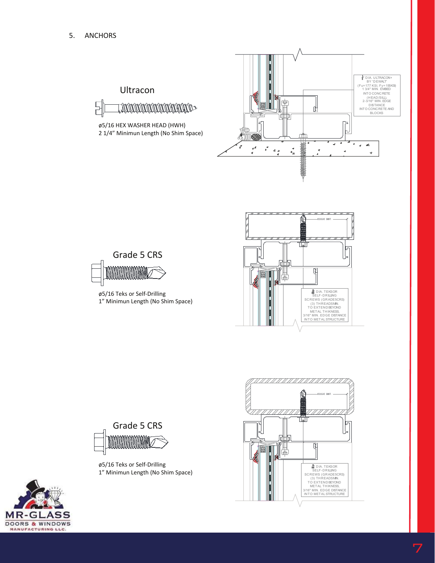$\begin{array}{c} \square \\ \square \end{array}$ 





ø5/16 Teks or Self-Drilling 1" Minimun Length (No Shim Space)

ø5/16 HEX WASHER HEAD (HWH) 2 1/4" Minimun Length (No Shim Space)

**FUNDINUMINININININININ** 

Ultracon





ø5/16 Teks or Self-Drilling 1" Minimun Length (No Shim Space)